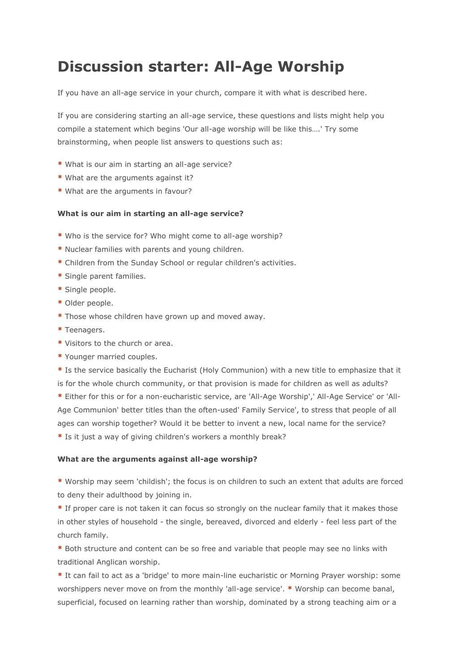## **Discussion starter: All-Age Worship**

If you have an all-age service in your church, compare it with what is described here.

If you are considering starting an all-age service, these questions and lists might help you compile a statement which begins 'Our all-age worship will be like this….' Try some brainstorming, when people list answers to questions such as:

- **\*** What is our aim in starting an all-age service?
- **\*** What are the arguments against it?
- **\*** What are the arguments in favour?

## **What is our aim in starting an all-age service?**

- **\*** Who is the service for? Who might come to all-age worship?
- **\*** Nuclear families with parents and young children.
- **\*** Children from the Sunday School or regular children's activities.
- **\*** Single parent families.
- **\*** Single people.
- **\*** Older people.
- **\*** Those whose children have grown up and moved away.
- **\*** Teenagers.
- **\*** Visitors to the church or area.
- **\*** Younger married couples.

**\*** Is the service basically the Eucharist (Holy Communion) with a new title to emphasize that it is for the whole church community, or that provision is made for children as well as adults?

**\*** Either for this or for a non-eucharistic service, are 'All-Age Worship',' All-Age Service' or 'All-Age Communion' better titles than the often-used' Family Service', to stress that people of all ages can worship together? Would it be better to invent a new, local name for the service?

**\*** Is it just a way of giving children's workers a monthly break?

## **What are the arguments against all-age worship?**

**\*** Worship may seem 'childish'; the focus is on children to such an extent that adults are forced to deny their adulthood by joining in.

**\*** If proper care is not taken it can focus so strongly on the nuclear family that it makes those in other styles of household - the single, bereaved, divorced and elderly - feel less part of the church family.

**\*** Both structure and content can be so free and variable that people may see no links with traditional Anglican worship.

**\*** It can fail to act as a 'bridge' to more main-line eucharistic or Morning Prayer worship: some worshippers never move on from the monthly 'all-age service'. **\*** Worship can become banal, superficial, focused on learning rather than worship, dominated by a strong teaching aim or a